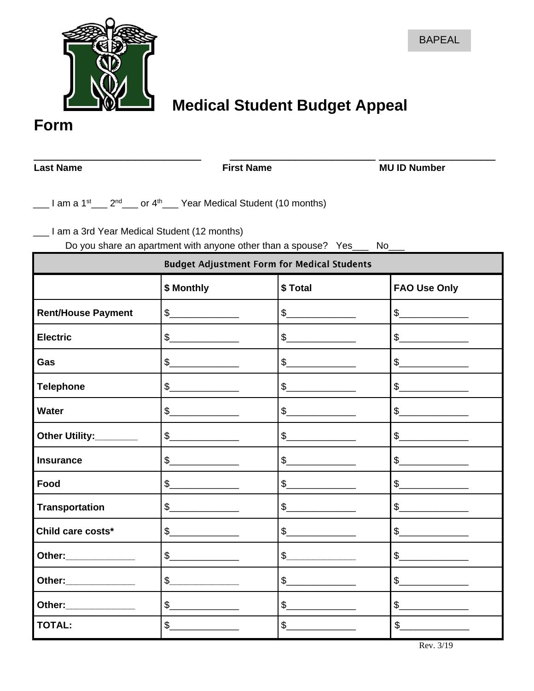

# **Medical Student Budget Appeal**

**Form**

\_\_\_\_\_\_\_\_\_\_\_\_\_\_\_\_\_\_\_\_\_\_\_ \_\_\_\_\_\_\_\_\_\_\_\_\_\_\_\_\_\_\_\_ \_\_\_\_\_\_\_\_\_\_\_\_\_\_\_\_ Last Name **First Name** First Name **MU ID Number** 

 $\frac{1}{2}$  am a 1<sup>st</sup>  $\frac{2^{nd}}{n}$  or 4<sup>th</sup>  $\frac{1}{2}$  Year Medical Student (10 months)

\_\_\_ I am a 3rd Year Medical Student (12 months)

Do you share an apartment with anyone other than a spouse? Yes\_\_\_ No\_\_\_

| <b>Budget Adjustment Form for Medical Students</b> |                                                                                                                                                                                                                                                                                                                                                                     |                                                                                                                                                                                                                                                                                                                                                                                                                                                                                                                        |                                                                                                                                                                                                                                                                                                                                                                     |  |
|----------------------------------------------------|---------------------------------------------------------------------------------------------------------------------------------------------------------------------------------------------------------------------------------------------------------------------------------------------------------------------------------------------------------------------|------------------------------------------------------------------------------------------------------------------------------------------------------------------------------------------------------------------------------------------------------------------------------------------------------------------------------------------------------------------------------------------------------------------------------------------------------------------------------------------------------------------------|---------------------------------------------------------------------------------------------------------------------------------------------------------------------------------------------------------------------------------------------------------------------------------------------------------------------------------------------------------------------|--|
|                                                    | \$ Monthly                                                                                                                                                                                                                                                                                                                                                          | \$Total                                                                                                                                                                                                                                                                                                                                                                                                                                                                                                                | <b>FAO Use Only</b>                                                                                                                                                                                                                                                                                                                                                 |  |
| <b>Rent/House Payment</b>                          | $\begin{picture}(20,20) \put(0,0){\line(1,0){100}} \put(15,0){\line(1,0){100}} \put(15,0){\line(1,0){100}} \put(15,0){\line(1,0){100}} \put(15,0){\line(1,0){100}} \put(15,0){\line(1,0){100}} \put(15,0){\line(1,0){100}} \put(15,0){\line(1,0){100}} \put(15,0){\line(1,0){100}} \put(15,0){\line(1,0){100}} \put(15,0){\line(1,0){100}} \$                       | $\begin{array}{c c} \n\text{\bf 5} & \text{\bf \textbf{---}} & \text{\bf \textbf{---}} & \text{\bf \textbf{---}} \\ \n\text{\bf 0} & \text{\bf 0} & \text{\bf 0} & \text{\bf 0} & \text{\bf 0} \\ \n\text{\bf 0} & \text{\bf 0} & \text{\bf 0} & \text{\bf 0} & \text{\bf 0} \\ \n\text{\bf 0} & \text{\bf 0} & \text{\bf 0} & \text{\bf 0} & \text{\bf 0} \\ \n\text{\bf 0} & \text{\bf 0} & \text{\bf 0} & \text{\bf 0} & \text{\bf 0} &$                                                                            | $\begin{picture}(20,10) \put(0,0){\line(1,0){100}} \put(15,0){\line(1,0){100}} \put(15,0){\line(1,0){100}} \put(15,0){\line(1,0){100}} \put(15,0){\line(1,0){100}} \put(15,0){\line(1,0){100}} \put(15,0){\line(1,0){100}} \put(15,0){\line(1,0){100}} \put(15,0){\line(1,0){100}} \put(15,0){\line(1,0){100}} \put(15,0){\line(1,0){100}} \$                       |  |
| <b>Electric</b>                                    | $\begin{picture}(20,10) \put(0,0){\line(1,0){10}} \put(15,0){\line(1,0){10}} \put(15,0){\line(1,0){10}} \put(15,0){\line(1,0){10}} \put(15,0){\line(1,0){10}} \put(15,0){\line(1,0){10}} \put(15,0){\line(1,0){10}} \put(15,0){\line(1,0){10}} \put(15,0){\line(1,0){10}} \put(15,0){\line(1,0){10}} \put(15,0){\line(1,0){10}} \put(15,0){\line(1$                 | $\begin{picture}(20,20) \put(0,0){\line(1,0){100}} \put(15,0){\line(1,0){100}} \put(15,0){\line(1,0){100}} \put(15,0){\line(1,0){100}} \put(15,0){\line(1,0){100}} \put(15,0){\line(1,0){100}} \put(15,0){\line(1,0){100}} \put(15,0){\line(1,0){100}} \put(15,0){\line(1,0){100}} \put(15,0){\line(1,0){100}} \put(15,0){\line(1,0){100}} \$                                                                                                                                                                          | $\frac{1}{2}$                                                                                                                                                                                                                                                                                                                                                       |  |
| Gas                                                | $\begin{picture}(20,20) \put(0,0){\line(1,0){100}} \put(15,0){\line(1,0){100}} \put(15,0){\line(1,0){100}} \put(15,0){\line(1,0){100}} \put(15,0){\line(1,0){100}} \put(15,0){\line(1,0){100}} \put(15,0){\line(1,0){100}} \put(15,0){\line(1,0){100}} \put(15,0){\line(1,0){100}} \put(15,0){\line(1,0){100}} \put(15,0){\line(1,0){100}} \$                       | $\frac{1}{2}$                                                                                                                                                                                                                                                                                                                                                                                                                                                                                                          | $\begin{picture}(20,10) \put(0,0){\line(1,0){10}} \put(15,0){\line(1,0){10}} \put(15,0){\line(1,0){10}} \put(15,0){\line(1,0){10}} \put(15,0){\line(1,0){10}} \put(15,0){\line(1,0){10}} \put(15,0){\line(1,0){10}} \put(15,0){\line(1,0){10}} \put(15,0){\line(1,0){10}} \put(15,0){\line(1,0){10}} \put(15,0){\line(1,0){10}} \put(15,0){\line(1$                 |  |
| <b>Telephone</b>                                   | $\frac{1}{2}$                                                                                                                                                                                                                                                                                                                                                       | $\frac{1}{2}$                                                                                                                                                                                                                                                                                                                                                                                                                                                                                                          | $\begin{picture}(20,10) \put(0,0){\line(1,0){10}} \put(15,0){\line(1,0){10}} \put(15,0){\line(1,0){10}} \put(15,0){\line(1,0){10}} \put(15,0){\line(1,0){10}} \put(15,0){\line(1,0){10}} \put(15,0){\line(1,0){10}} \put(15,0){\line(1,0){10}} \put(15,0){\line(1,0){10}} \put(15,0){\line(1,0){10}} \put(15,0){\line(1,0){10}} \put(15,0){\line(1$                 |  |
| <b>Water</b>                                       | $\begin{picture}(20,20) \put(0,0){\vector(1,0){100}} \put(15,0){\vector(1,0){100}} \put(15,0){\vector(1,0){100}} \put(15,0){\vector(1,0){100}} \put(15,0){\vector(1,0){100}} \put(15,0){\vector(1,0){100}} \put(15,0){\vector(1,0){100}} \put(15,0){\vector(1,0){100}} \put(15,0){\vector(1,0){100}} \put(15,0){\vector(1,0){100}} \put(15,0){\vector(1,0){100}} \$ | $\begin{picture}(20,20) \put(0,0){\line(1,0){100}} \put(15,0){\line(1,0){100}} \put(15,0){\line(1,0){100}} \put(15,0){\line(1,0){100}} \put(15,0){\line(1,0){100}} \put(15,0){\line(1,0){100}} \put(15,0){\line(1,0){100}} \put(15,0){\line(1,0){100}} \put(15,0){\line(1,0){100}} \put(15,0){\line(1,0){100}} \put(15,0){\line(1,0){100}} \$                                                                                                                                                                          | $\begin{picture}(20,20) \put(0,0){\vector(1,0){100}} \put(15,0){\vector(1,0){100}} \put(15,0){\vector(1,0){100}} \put(15,0){\vector(1,0){100}} \put(15,0){\vector(1,0){100}} \put(15,0){\vector(1,0){100}} \put(15,0){\vector(1,0){100}} \put(15,0){\vector(1,0){100}} \put(15,0){\vector(1,0){100}} \put(15,0){\vector(1,0){100}} \put(15,0){\vector(1,0){100}} \$ |  |
| Other Utility:________                             | $\frac{1}{2}$                                                                                                                                                                                                                                                                                                                                                       | $\sim$                                                                                                                                                                                                                                                                                                                                                                                                                                                                                                                 | $\sim$                                                                                                                                                                                                                                                                                                                                                              |  |
| <b>Insurance</b>                                   | $\frac{1}{2}$                                                                                                                                                                                                                                                                                                                                                       | $\begin{picture}(20,20) \put(0,0){\line(1,0){100}} \put(15,0){\line(1,0){100}} \put(15,0){\line(1,0){100}} \put(15,0){\line(1,0){100}} \put(15,0){\line(1,0){100}} \put(15,0){\line(1,0){100}} \put(15,0){\line(1,0){100}} \put(15,0){\line(1,0){100}} \put(15,0){\line(1,0){100}} \put(15,0){\line(1,0){100}} \put(15,0){\line(1,0){100}} \$                                                                                                                                                                          | $\frac{1}{2}$                                                                                                                                                                                                                                                                                                                                                       |  |
| Food                                               | $\frac{1}{2}$                                                                                                                                                                                                                                                                                                                                                       | $\frac{1}{2}$                                                                                                                                                                                                                                                                                                                                                                                                                                                                                                          | $\frac{1}{2}$                                                                                                                                                                                                                                                                                                                                                       |  |
| <b>Transportation</b>                              | $\frac{1}{2}$                                                                                                                                                                                                                                                                                                                                                       | $\frac{1}{2}$                                                                                                                                                                                                                                                                                                                                                                                                                                                                                                          | $\begin{picture}(20,20) \put(0,0){\vector(1,0){100}} \put(15,0){\vector(1,0){100}} \put(15,0){\vector(1,0){100}} \put(15,0){\vector(1,0){100}} \put(15,0){\vector(1,0){100}} \put(15,0){\vector(1,0){100}} \put(15,0){\vector(1,0){100}} \put(15,0){\vector(1,0){100}} \put(15,0){\vector(1,0){100}} \put(15,0){\vector(1,0){100}} \put(15,0){\vector(1,0){100}} \$ |  |
| Child care costs*                                  | $\begin{picture}(20,10) \put(0,0){\line(1,0){100}} \put(15,0){\line(1,0){100}} \put(15,0){\line(1,0){100}} \put(15,0){\line(1,0){100}} \put(15,0){\line(1,0){100}} \put(15,0){\line(1,0){100}} \put(15,0){\line(1,0){100}} \put(15,0){\line(1,0){100}} \put(15,0){\line(1,0){100}} \put(15,0){\line(1,0){100}} \put(15,0){\line(1,0){100}} \$                       | $\begin{picture}(20,10) \put(0,0){\vector(1,0){100}} \put(15,0){\vector(1,0){100}} \put(15,0){\vector(1,0){100}} \put(15,0){\vector(1,0){100}} \put(15,0){\vector(1,0){100}} \put(15,0){\vector(1,0){100}} \put(15,0){\vector(1,0){100}} \put(15,0){\vector(1,0){100}} \put(15,0){\vector(1,0){100}} \put(15,0){\vector(1,0){100}} \put(15,0){\vector(1,0){100}} \$                                                                                                                                                    | $\begin{picture}(20,10) \put(0,0){\line(1,0){10}} \put(15,0){\line(1,0){10}} \put(15,0){\line(1,0){10}} \put(15,0){\line(1,0){10}} \put(15,0){\line(1,0){10}} \put(15,0){\line(1,0){10}} \put(15,0){\line(1,0){10}} \put(15,0){\line(1,0){10}} \put(15,0){\line(1,0){10}} \put(15,0){\line(1,0){10}} \put(15,0){\line(1,0){10}} \put(15,0){\line(1$                 |  |
| Other:______________                               | $\begin{picture}(20,20) \put(0,0){\vector(1,0){100}} \put(15,0){\vector(1,0){100}} \put(15,0){\vector(1,0){100}} \put(15,0){\vector(1,0){100}} \put(15,0){\vector(1,0){100}} \put(15,0){\vector(1,0){100}} \put(15,0){\vector(1,0){100}} \put(15,0){\vector(1,0){100}} \put(15,0){\vector(1,0){100}} \put(15,0){\vector(1,0){100}} \put(15,0){\vector(1,0){100}} \$ | $\frac{1}{2}$                                                                                                                                                                                                                                                                                                                                                                                                                                                                                                          | $\frac{1}{2}$                                                                                                                                                                                                                                                                                                                                                       |  |
| Other:_____________                                | $\begin{picture}(20,10) \put(0,0){\vector(1,0){100}} \put(15,0){\vector(1,0){100}} \put(15,0){\vector(1,0){100}} \put(15,0){\vector(1,0){100}} \put(15,0){\vector(1,0){100}} \put(15,0){\vector(1,0){100}} \put(15,0){\vector(1,0){100}} \put(15,0){\vector(1,0){100}} \put(15,0){\vector(1,0){100}} \put(15,0){\vector(1,0){100}} \put(15,0){\vector(1,0){100}} \$ | $\begin{picture}(20,10) \put(0,0){\line(1,0){10}} \put(15,0){\line(1,0){10}} \put(15,0){\line(1,0){10}} \put(15,0){\line(1,0){10}} \put(15,0){\line(1,0){10}} \put(15,0){\line(1,0){10}} \put(15,0){\line(1,0){10}} \put(15,0){\line(1,0){10}} \put(15,0){\line(1,0){10}} \put(15,0){\line(1,0){10}} \put(15,0){\line(1,0){10}} \put(15,0){\line(1$                                                                                                                                                                    | $\begin{picture}(20,20) \put(0,0){\vector(1,0){100}} \put(15,0){\vector(1,0){100}} \put(15,0){\vector(1,0){100}} \put(15,0){\vector(1,0){100}} \put(15,0){\vector(1,0){100}} \put(15,0){\vector(1,0){100}} \put(15,0){\vector(1,0){100}} \put(15,0){\vector(1,0){100}} \put(15,0){\vector(1,0){100}} \put(15,0){\vector(1,0){100}} \put(15,0){\vector(1,0){100}} \$ |  |
| Other:_____________                                | $\begin{picture}(20,20) \put(0,0){\vector(1,0){100}} \put(15,0){\vector(1,0){100}} \put(15,0){\vector(1,0){100}} \put(15,0){\vector(1,0){100}} \put(15,0){\vector(1,0){100}} \put(15,0){\vector(1,0){100}} \put(15,0){\vector(1,0){100}} \put(15,0){\vector(1,0){100}} \put(15,0){\vector(1,0){100}} \put(15,0){\vector(1,0){100}} \put(15,0){\vector(1,0){100}} \$ | $\begin{array}{c} \n\text{\$} \quad \text{\$} \quad \text{\$} \quad \text{\$} \quad \text{\$} \quad \text{\$} \quad \text{\$} \quad \text{\$} \quad \text{\$} \quad \text{\$} \quad \text{\$} \quad \text{\$} \quad \text{\$} \quad \text{\$} \quad \text{\$} \quad \text{\$} \quad \text{\$} \quad \text{\$} \quad \text{\$} \quad \text{\$} \quad \text{\$} \quad \text{\$} \quad \text{\$} \quad \text{\$} \quad \text{\$} \quad \text{\$} \quad \text{\$} \quad \text{\$} \quad \text{\$} \quad \text{\$} \quad \$ | $\begin{picture}(20,10) \put(0,0){\line(1,0){10}} \put(15,0){\line(1,0){10}} \put(15,0){\line(1,0){10}} \put(15,0){\line(1,0){10}} \put(15,0){\line(1,0){10}} \put(15,0){\line(1,0){10}} \put(15,0){\line(1,0){10}} \put(15,0){\line(1,0){10}} \put(15,0){\line(1,0){10}} \put(15,0){\line(1,0){10}} \put(15,0){\line(1,0){10}} \put(15,0){\line(1$                 |  |
| <b>TOTAL:</b>                                      | $\sim$                                                                                                                                                                                                                                                                                                                                                              | $\frac{1}{2}$                                                                                                                                                                                                                                                                                                                                                                                                                                                                                                          | $\mathbb{S}$                                                                                                                                                                                                                                                                                                                                                        |  |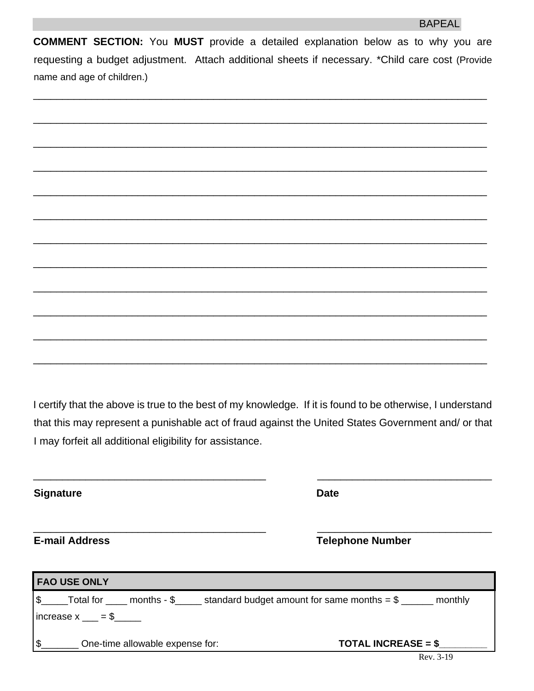**COMMENT SECTION:** You **MUST** provide a detailed explanation below as to why you are requesting a budget adjustment. Attach additional sheets if necessary. \*Child care cost (Provide name and age of children.)

I certify that the above is true to the best of my knowledge. If it is found to be otherwise, I understand that this may represent a punishable act of fraud against the United States Government and/ or that I may forfeit all additional eligibility for assistance.

\_\_\_\_\_\_\_\_\_\_\_\_\_\_\_\_\_\_\_\_\_\_\_\_\_\_\_\_\_\_\_\_\_\_\_\_\_\_\_\_ \_\_\_\_\_\_\_\_\_\_\_\_\_\_\_\_\_\_\_\_\_\_\_\_\_\_\_\_\_\_

\_\_\_\_\_\_\_\_\_\_\_\_\_\_\_\_\_\_\_\_\_\_\_\_\_\_\_\_\_\_\_\_\_\_\_\_\_\_\_\_ \_\_\_\_\_\_\_\_\_\_\_\_\_\_\_\_\_\_\_\_\_\_\_\_\_\_\_\_\_\_

**Signature Date** 

**E-mail Address Telephone Number** 

| <b>FAO USE ONLY</b>                                                                                            |                                         |  |
|----------------------------------------------------------------------------------------------------------------|-----------------------------------------|--|
| $\frac{15}{2}$ Total for _____ months - \$______ standard budget amount for same months = \$ ______<br>monthly |                                         |  |
| $ increase x_ = $$                                                                                             |                                         |  |
| \$<br>One-time allowable expense for:                                                                          | <b>TOTAL INCREASE = <math>\$</math></b> |  |
|                                                                                                                | Rev. 3-19                               |  |